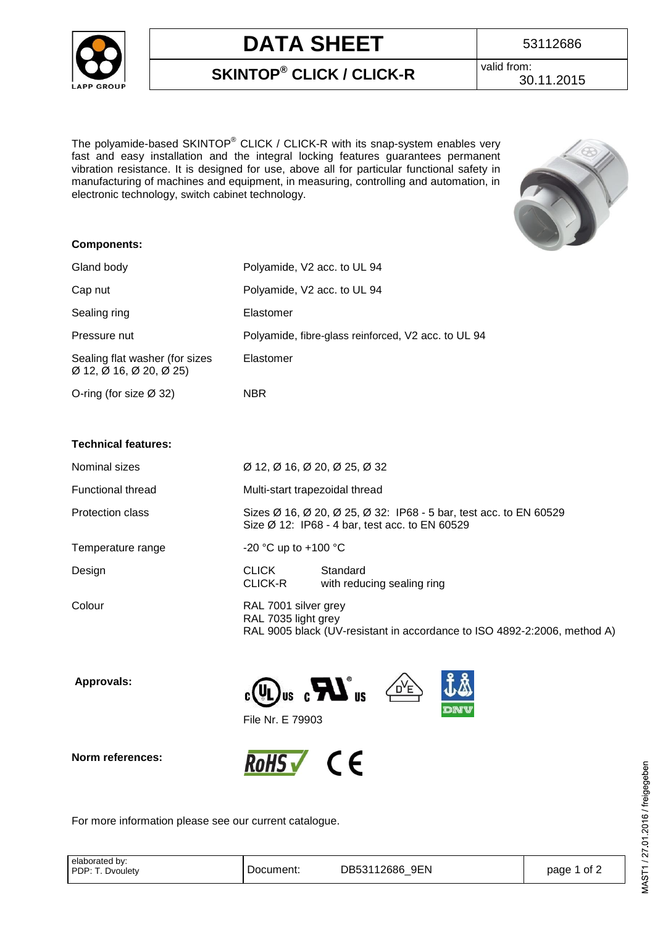

# **DATA SHEET** 1 53112686

**SKINTOP® CLICK / CLICK-R**

valid from: 30.11.2015

The polyamide-based SKINTOP® CLICK / CLICK-R with its snap-system enables very fast and easy installation and the integral locking features guarantees permanent vibration resistance. It is designed for use, above all for particular functional safety in manufacturing of machines and equipment, in measuring, controlling and automation, in electronic technology, [switch](http://dict.leo.org/ende?lp=ende&p=/gQPU.&search=switch) [cabinet](http://dict.leo.org/ende?lp=ende&p=/gQPU.&search=cabinet) technology.



#### **Components:**

| Gland body                                                | Polyamide, V2 acc. to UL 94                                                                                                     |                                                                                          |  |  |  |  |
|-----------------------------------------------------------|---------------------------------------------------------------------------------------------------------------------------------|------------------------------------------------------------------------------------------|--|--|--|--|
| Cap nut                                                   | Polyamide, V2 acc. to UL 94                                                                                                     |                                                                                          |  |  |  |  |
| Sealing ring                                              | Elastomer                                                                                                                       |                                                                                          |  |  |  |  |
| Pressure nut                                              |                                                                                                                                 | Polyamide, fibre-glass reinforced, V2 acc. to UL 94                                      |  |  |  |  |
| Sealing flat washer (for sizes<br>Ø 12, Ø 16, Ø 20, Ø 25) | Elastomer                                                                                                                       |                                                                                          |  |  |  |  |
| O-ring (for size Ø 32)                                    | NBR                                                                                                                             |                                                                                          |  |  |  |  |
|                                                           |                                                                                                                                 |                                                                                          |  |  |  |  |
| <b>Technical features:</b>                                |                                                                                                                                 |                                                                                          |  |  |  |  |
| Nominal sizes                                             |                                                                                                                                 | $\varnothing$ 12, $\varnothing$ 16, $\varnothing$ 20, $\varnothing$ 25, $\varnothing$ 32 |  |  |  |  |
| <b>Functional thread</b>                                  | Multi-start trapezoidal thread                                                                                                  |                                                                                          |  |  |  |  |
| <b>Protection class</b>                                   | Sizes Ø 16, Ø 20, Ø 25, Ø 32: IP68 - 5 bar, test acc. to EN 60529<br>Size $\varnothing$ 12: IP68 - 4 bar, test acc. to EN 60529 |                                                                                          |  |  |  |  |
| Temperature range                                         | -20 °C up to +100 °C                                                                                                            |                                                                                          |  |  |  |  |
| Design                                                    | <b>CLICK</b><br>CLICK-R                                                                                                         | Standard<br>with reducing sealing ring                                                   |  |  |  |  |
| Colour                                                    | RAL 7001 silver grey<br>RAL 7035 light grey<br>RAL 9005 black (UV-resistant in accordance to ISO 4892-2:2006, method A)         |                                                                                          |  |  |  |  |

 **Approvals:**









File Nr. E 79903

For more information please see our current catalogue.

| elaborated by:<br>PDP:<br>Dvouletv | Document:<br>_____ | 9EN<br>12686<br>DB531<br>_ | ot 2<br>page |
|------------------------------------|--------------------|----------------------------|--------------|
|------------------------------------|--------------------|----------------------------|--------------|